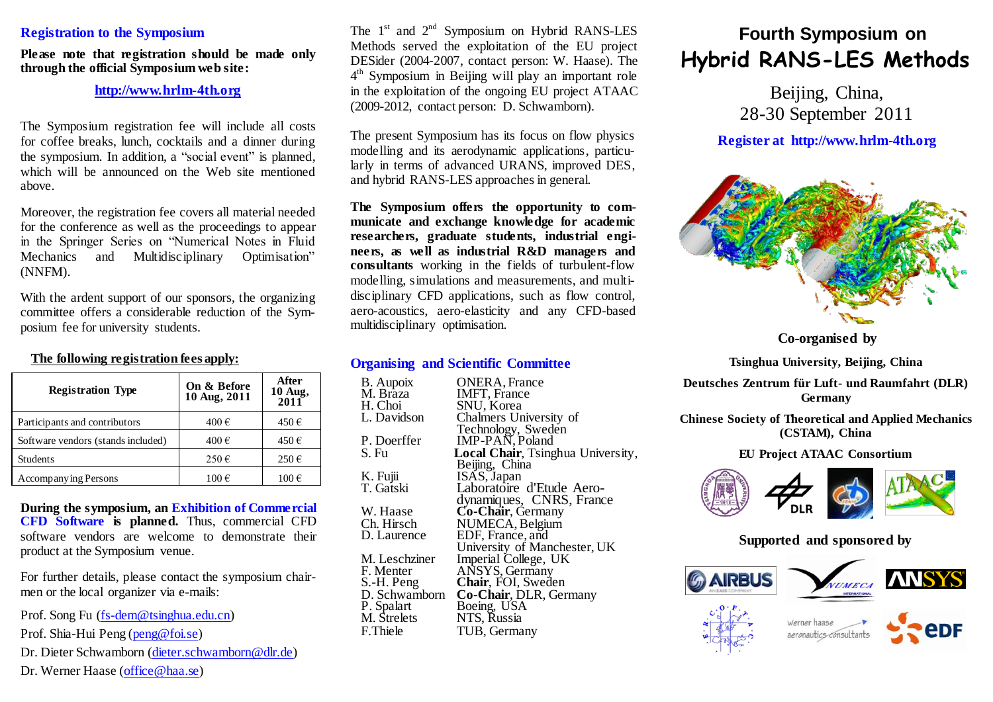#### **Registration to the Symposium**

**Please note that registration should be made only through the official Symposium web site:**

#### **[http://www.hrlm-4th.org](http://www.hrlm-4th.org/)**

The Symposium registration fee will include all costs for coffee breaks, lunch, cocktails and a dinner during the symposium. In addition, a "social event" is planned, which will be announced on the Web site mentioned above.

Moreover, the registration fee covers all material needed for the conference as well as the proceedings to appear in the Springer Series on "Numerical Notes in Fluid Mechanics and Multidisciplinary Optimisation" (NNFM).

With the ardent support of our sponsors, the organizing committee offers a considerable reduction of the Symposium fee for university students.

### **The following registration fees apply:**

| <b>Registration Type</b>           | On & Before<br>10 Aug, 2011 | After<br>$10$ Aug,<br>$2011$ |
|------------------------------------|-----------------------------|------------------------------|
| Participants and contributors      | 400€                        | 450€                         |
| Software vendors (stands included) | 400€                        | 450€                         |
| <b>Students</b>                    | $250 \in$                   | $250 \in$                    |
| Accompanying Persons               | 100€                        | $100 \in$                    |

**During the symposium, an Exhibition of Commercial CFD Software is planned.** Thus, commercial CFD software vendors are welcome to demonstrate their product at the Symposium venue.

For further details, please contact the symposium chairmen or the local organizer via e-mails:

Prof. Song Fu [\(fs-dem@tsinghua.edu.cn\)](mailto:fs-dem@tsinghua.edu.cn)

Prof. Shia-Hui Peng [\(peng@foi.se\)](mailto:peng@foi.se)

Dr. Dieter Schwamborn [\(dieter.schwamborn@dlr.de\)](../Lokale%20Einstellungen/Temporary%20Internet%20Files/OLK2E8/dieter.schwamborn@dlr.de)

Dr. Werner Haase [\(office@haa.se](mailto:office@haa.se))

The  $1<sup>st</sup>$  and  $2<sup>nd</sup>$  Symposium on Hybrid RANS-LES Methods served the exploitation of the EU project DESider (2004-2007, contact person: W. Haase). The 4 th Symposium in Beijing will play an important role in the exploitation of the ongoing EU project ATAAC (2009-2012, contact person: D. Schwamborn).

The present Symposium has its focus on flow physics modelling and its aerodynamic applications, particularly in terms of advanced URANS, improved DES, and hybrid RANS-LES approaches in general.

**The Symposium offers the opportunity to communicate and exchange knowledge for academic researchers, graduate students, industrial engineers, as well as industrial R&D managers and consultants** working in the fields of turbulent-flow modelling, simulations and measurements, and multidisciplinary CFD applications, such as flow control, aero-acoustics, aero-elasticity and any CFD-based multidisciplinary optimisation.

### **Organising and Scientific Committee**

| <b>B.</b> Aupoix | <b>ONERA, France</b>                          |
|------------------|-----------------------------------------------|
| M. Brāza         | <b>IMFT, France</b>                           |
| H. Choi          | SNU, Korea                                    |
| L. Davidson      | Chalmers University of                        |
|                  | Technology, Sweden                            |
| P. Doerffer      | IMP-PAN, Poland                               |
| S. Fu            | <b>Local Chair</b> , Tsinghua University,     |
|                  | Beijing, China                                |
| K. Fujii         | ISAS, Japan                                   |
| T. Gatski        | Laboratoire d'Etude Aero-                     |
|                  |                                               |
| W. Haase         | dynamiques, CNRS, France<br>Co-Chair, Germany |
| Ch. Hirsch       | NUMECA, Belgium                               |
| D. Laurence      | EDF, France, and                              |
|                  | University of Manchester, UK                  |
| M. Leschziner    | Imperial College, UK                          |
| F. Menter        | ANSYS, Germany                                |
| S.-H. Peng       | Chair, FOI, Sweden                            |
| D. Schwamborn    | Co-Chair, DLR, Germany                        |
| P. Spalart       | Boeing, USA<br>NTS, Russia                    |
| M. Strelets      |                                               |
| F.Thiele         | TUB, Germany                                  |
|                  |                                               |

# **Fourth Symposium on Hybrid RANS-LES Methods**

Beijing, China, 28-30 September 2011

### **Register at http://www.hrlm-4th.org**



**Co-organised by**

**Tsinghua University, Beijing, China**

**Deutsches Zentrum für Luft- und Raumfahrt (DLR) Germany**

**Chinese Society of Theoretical and Applied Mechanics (CSTAM), China**

**EU Project ATAAC Consortium**



### **Supported and sponsored by**